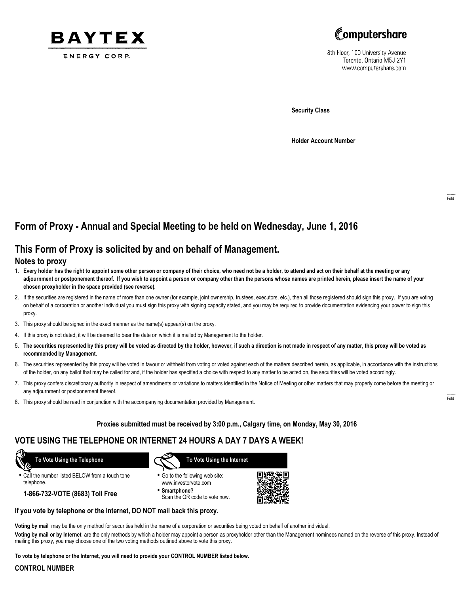



8th Floor, 100 University Avenue Toronto, Ontario M5J 2Y1 www.computershare.com

**Security Class**

**Holder Account Number**

# **Form of Proxy - Annual and Special Meeting to be held on Wednesday, June 1, 2016**

## **This Form of Proxy is solicited by and on behalf of Management.**

### **Notes to proxy**

- 1. **Every holder has the right to appoint some other person or company of their choice, who need not be a holder, to attend and act on their behalf at the meeting or any adjournment or postponement thereof. If you wish to appoint a person or company other than the persons whose names are printed herein, please insert the name of your chosen proxyholder in the space provided (see reverse).**
- 2. If the securities are registered in the name of more than one owner (for example, joint ownership, trustees, executors, etc.), then all those registered should sign this proxy. If you are voting on behalf of a corporation or another individual you must sign this proxy with signing capacity stated, and you may be required to provide documentation evidencing your power to sign this proxy.
- 3. This proxy should be signed in the exact manner as the name(s) appear(s) on the proxy.
- 4. If this proxy is not dated, it will be deemed to bear the date on which it is mailed by Management to the holder.
- 5. **The securities represented by this proxy will be voted as directed by the holder, however, if such a direction is not made in respect of any matter, this proxy will be voted as recommended by Management.**
- 6. The securities represented by this proxy will be voted in favour or withheld from voting or voted against each of the matters described herein, as applicable, in accordance with the instructions of the holder, on any ballot that may be called for and, if the holder has specified a choice with respect to any matter to be acted on, the securities will be voted accordingly.
- 7. This proxy confers discretionary authority in respect of amendments or variations to matters identified in the Notice of Meeting or other matters that may properly come before the meeting or any adjournment or postponement thereof.
- 8. This proxy should be read in conjunction with the accompanying documentation provided by Management.

### **Proxies submitted must be received by 3:00 p.m., Calgary time, on Monday, May 30, 2016**

### **VOTE USING THE TELEPHONE OR INTERNET 24 HOURS A DAY 7 DAYS A WEEK!**

 **To Vote Using the Telephone**

**•** Call the number listed BELOW from a touch tone telephone.

**1-866-732-VOTE (8683) Toll Free**



- **•** Go to the following web site: www.investorvote.com
- **• Smartphone?** Scan the QR code to vote now.



### **If you vote by telephone or the Internet, DO NOT mail back this proxy.**

**Voting by mail** may be the only method for securities held in the name of a corporation or securities being voted on behalf of another individual.

**Voting by mail or by Internet** are the only methods by which a holder may appoint a person as proxyholder other than the Management nominees named on the reverse of this proxy. Instead of mailing this proxy, you may choose one of the two voting methods outlined above to vote this proxy.

**To vote by telephone or the Internet, you will need to provide your CONTROL NUMBER listed below.**

#### **CONTROL NUMBER**